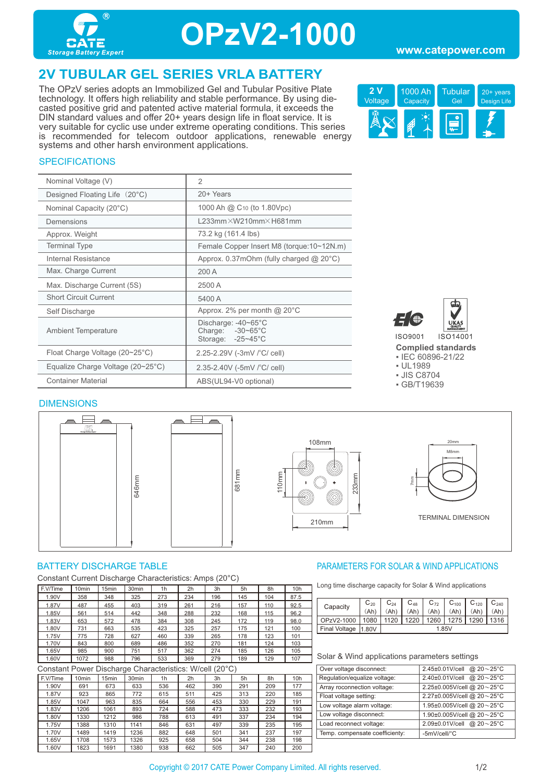

## **OPzV2-1000**

## **2V TUBULAR GEL SERIES VRLA BATTERY**

The OPzV series adopts an Immobilized Gel and Tubular Positive Plate technology. It offers high reliability and stable performance. By using diecasted positive grid and patented active material formula, it exceeds the DIN standard values and offer 20+ years design life in float service. It is very suitable for cyclic use under extreme operating conditions. This series is recommended for telecom outdoor applications, renewable energy systems and other harsh environment applications.



### **SPECIFICATIONS**

| Nominal Voltage (V)                               | $\overline{2}$                                                                   |
|---------------------------------------------------|----------------------------------------------------------------------------------|
| Designed Floating Life (20°C)                     | 20+ Years                                                                        |
| Nominal Capacity (20°C)                           | 1000 Ah @ C <sub>10</sub> (to 1.80Vpc)                                           |
| Demensions                                        | $L233$ mm $\times$ W210mm $\times$ H681mm                                        |
| Approx. Weight                                    | 73.2 kg (161.4 lbs)                                                              |
| <b>Terminal Type</b>                              | Female Copper Insert M8 (torque: 10~12N.m)                                       |
| Internal Resistance                               | Approx. $0.37$ mOhm (fully charged $@$ 20 $°C$ )                                 |
| Max. Charge Current                               | 200 A                                                                            |
| Max. Discharge Current (5S)                       | 2500 A                                                                           |
| <b>Short Circuit Current</b>                      | 5400 A                                                                           |
| Self Discharge                                    | Approx. 2% per month $@$ 20 $°C$                                                 |
| <b>Ambient Temperature</b>                        | Discharge: $-40-65^{\circ}$ C<br>Charge: $-30-65^{\circ}$ C<br>Storage: -25~45°C |
| Float Charge Voltage $(20~25^{\circ}C)$           | 2.25-2.29V (-3mV /°C/ cell)                                                      |
| Equalize Charge Voltage $(20~25~{\rm ^{\circ}C})$ | 2.35-2.40V (-5mV $\degree$ C/ cell)                                              |
| <b>Container Material</b>                         | ABS(UL94-V0 optional)                                                            |



**Complied standards** 

▪ IEC 60896-21/22

▪ UL1989

▪ JIS C8704

▪ GB/T19639

#### **DIMENSIONS**



Constant Current Discharge Characteristics: Amps (20°C)

| F.V/Time | 10 <sub>min</sub> | 15 <sub>min</sub> | 30 <sub>min</sub> | 1 <sub>h</sub> | 2h  | 3h  | 5h  | 8h  | 10h  |
|----------|-------------------|-------------------|-------------------|----------------|-----|-----|-----|-----|------|
| 1.90V    | 358               | 348               | 325               | 273            | 234 | 196 | 145 | 104 | 87.5 |
| 1.87V    | 487               | 455               | 403               | 319            | 261 | 216 | 157 | 110 | 92.5 |
| 1.85V    | 561               | 514               | 442               | 348            | 288 | 232 | 168 | 115 | 96.2 |
| 1.83V    | 653               | 572               | 478               | 384            | 308 | 245 | 172 | 119 | 98.0 |
| 1.80V    | 731               | 663               | 535               | 423            | 325 | 257 | 175 | 121 | 100  |
| 1.75V    | 775               | 728               | 627               | 460            | 339 | 265 | 178 | 123 | 101  |
| 1.70V    | 843               | 800               | 689               | 486            | 352 | 270 | 181 | 124 | 103  |
| 1.65V    | 985               | 900               | 751               | 517            | 362 | 274 | 185 | 126 | 105  |
| 1.60V    | 1072              | 988               | 796               | 533            | 369 | 279 | 189 | 129 | 107  |

Constant Power Discharge Characteristics: W/cell (20°C)

| ----------<br>-------------------------<br>-- |                   |                   |                   |                |                |     |     |     |     |
|-----------------------------------------------|-------------------|-------------------|-------------------|----------------|----------------|-----|-----|-----|-----|
| F.V/Time                                      | 10 <sub>min</sub> | 15 <sub>min</sub> | 30 <sub>min</sub> | 1 <sub>h</sub> | 2 <sub>h</sub> | 3h  | 5h  | 8h  | 10h |
| 1.90V                                         | 691               | 673               | 633               | 536            | 462            | 390 | 291 | 209 | 177 |
| 1.87V                                         | 923               | 865               | 772               | 615            | 511            | 425 | 313 | 220 | 185 |
| 1.85V                                         | 1047              | 963               | 835               | 664            | 556            | 453 | 330 | 229 | 191 |
| 1.83V                                         | 1206              | 1061              | 893               | 724            | 588            | 473 | 333 | 232 | 193 |
| 1.80V                                         | 1330              | 1212              | 986               | 788            | 613            | 491 | 337 | 234 | 194 |
| 1.75V                                         | 1388              | 1310              | 1141              | 846            | 631            | 497 | 339 | 235 | 195 |
| 1.70V                                         | 1489              | 1419              | 1236              | 882            | 648            | 501 | 341 | 237 | 197 |
| 1.65V                                         | 1708              | 1573              | 1326              | 925            | 658            | 504 | 344 | 238 | 198 |
| 1.60V                                         | 1823              | 1691              | 1380              | 938            | 662            | 505 | 347 | 240 | 200 |

### BATTERY DISCHARGE TABLE **External of the CONTROLLY CONTROLLY AND APPLICATIONS** PARAMETERS FOR SOLAR & WIND APPLICATIONS

Long time discharge capacity for Solar & Wind applications

|  | Capacity      | $C_{20}$ | $C_{24}$ | $C_{48}$ | $C_{72}$ | $C_{100}$ | $C_{120}$ | $C_{240}$ |  |
|--|---------------|----------|----------|----------|----------|-----------|-----------|-----------|--|
|  |               | (Ah)     |          | (Ah)     | (Ah)     | Ah)       | (Ah)      | (Ah       |  |
|  | OPzV2-1000    | 1080     | 1120     | 1220     | 1260     | 1275      | 1290      | 1316 l    |  |
|  | Final Voltage | 1.80V    | 1.85V    |          |          |           |           |           |  |

| 2.45±0.01V/cell @ 20~25°C  |
|----------------------------|
| 2.40±0.01V/cell @ 20~25°C  |
| 2.25±0.005V/cell @ 20~25°C |
| 2.27±0.005V/cell @ 20~25°C |
| 1.95±0.005V/cell @ 20~25°C |
| 1.90±0.005V/cell @ 20~25°C |
| 2.09±0.01V/cell @ 20~25°C  |
| -5mV/cell/°C               |
|                            |